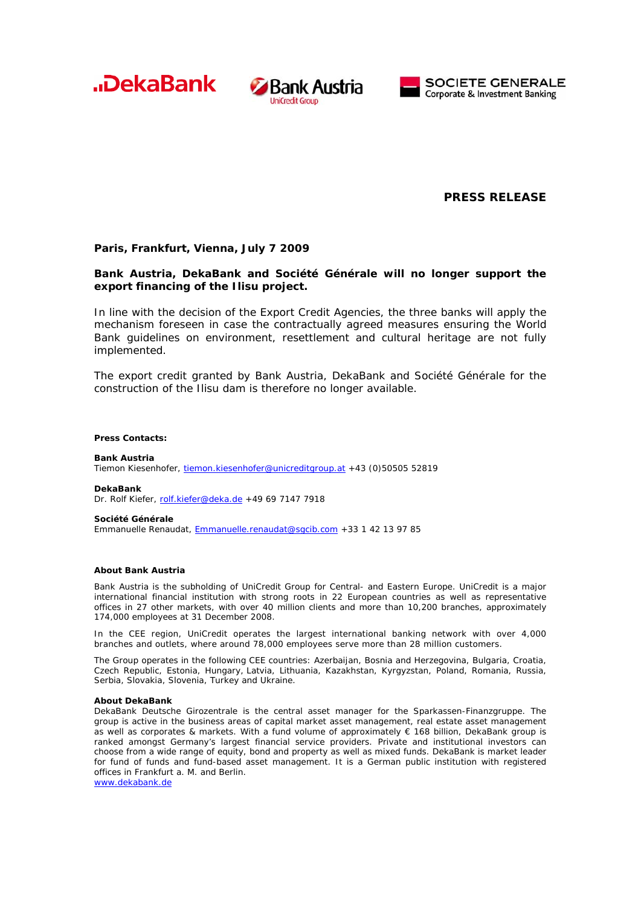





**PRESS RELEASE** 

## **Paris, Frankfurt, Vienna, July 7 2009**

# **Bank Austria, DekaBank and Société Générale will no longer support the export financing of the Ilisu project.**

In line with the decision of the Export Credit Agencies, the three banks will apply the mechanism foreseen in case the contractually agreed measures ensuring the World Bank guidelines on environment, resettlement and cultural heritage are not fully implemented.

The export credit granted by Bank Austria, DekaBank and Société Générale for the construction of the Ilisu dam is therefore no longer available.

#### **Press Contacts:**

**Bank Austria**  Tiemon Kiesenhofer, tiemon.kiesenhofer@unicreditgroup.at +43 (0)50505 52819

**DekaBank**  Dr. Rolf Kiefer, rolf.kiefer@deka.de +49 69 7147 7918

**Société Générale**  Emmanuelle Renaudat, Emmanuelle.renaudat@sgcib.com +33 1 42 13 97 85

### **About Bank Austria**

Bank Austria is the subholding of UniCredit Group for Central- and Eastern Europe. UniCredit is a major international financial institution with strong roots in 22 European countries as well as representative offices in 27 other markets, with over 40 million clients and more than 10,200 branches, approximately 174,000 employees at 31 December 2008.

In the CEE region, UniCredit operates the largest international banking network with over 4,000 branches and outlets, where around 78,000 employees serve more than 28 million customers.

The Group operates in the following CEE countries: Azerbaijan, Bosnia and Herzegovina, Bulgaria, Croatia, Czech Republic, Estonia, Hungary, Latvia, Lithuania, Kazakhstan, Kyrgyzstan, Poland, Romania, Russia, Serbia, Slovakia, Slovenia, Turkey and Ukraine.

### **About DekaBank**

DekaBank Deutsche Girozentrale is the central asset manager for the Sparkassen-Finanzgruppe. The group is active in the business areas of capital market asset management, real estate asset management as well as corporates & markets. With a fund volume of approximately € 168 billion, DekaBank group is ranked amongst Germany's largest financial service providers. Private and institutional investors can choose from a wide range of equity, bond and property as well as mixed funds. DekaBank is market leader for fund of funds and fund-based asset management. It is a German public institution with registered offices in Frankfurt a. M. and Berlin.

www.dekabank.de